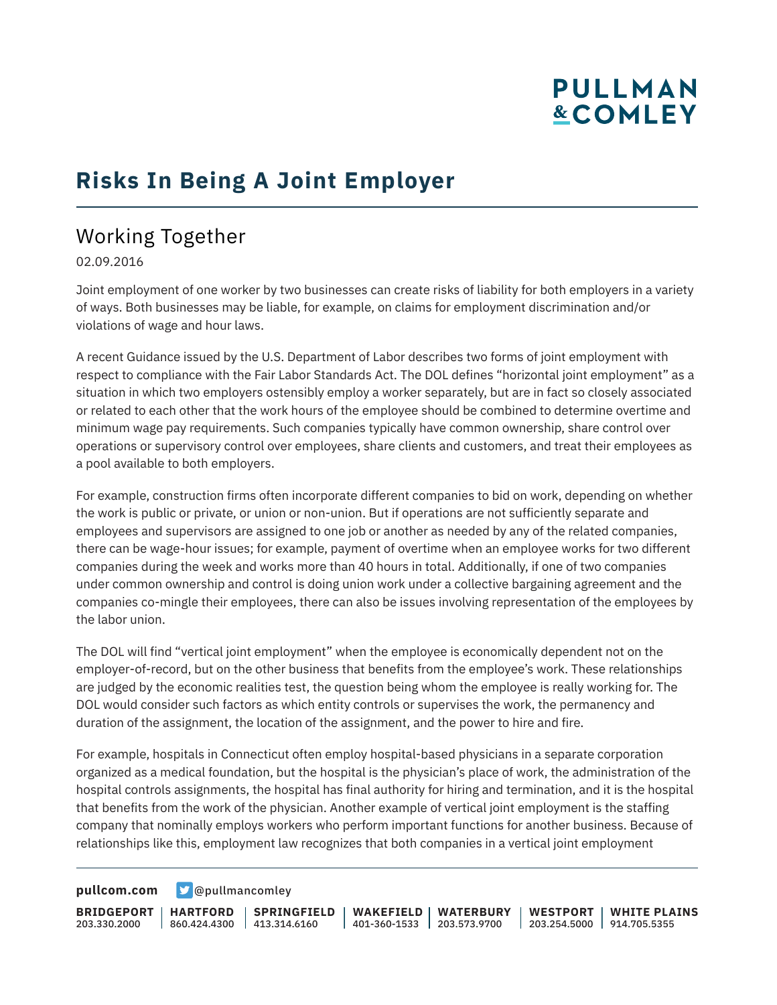# **PULLMAN &COMLEY**

### **Risks In Being A Joint Employer**

### Working Together

02.09.2016

Joint employment of one worker by two businesses can create risks of liability for both employers in a variety of ways. Both businesses may be liable, for example, on claims for employment discrimination and/or violations of wage and hour laws.

A recent Guidance issued by the U.S. Department of Labor describes two forms of joint employment with respect to compliance with the Fair Labor Standards Act. The DOL defines "horizontal joint employment" as a situation in which two employers ostensibly employ a worker separately, but are in fact so closely associated or related to each other that the work hours of the employee should be combined to determine overtime and minimum wage pay requirements. Such companies typically have common ownership, share control over operations or supervisory control over employees, share clients and customers, and treat their employees as a pool available to both employers.

For example, construction firms often incorporate different companies to bid on work, depending on whether the work is public or private, or union or non-union. But if operations are not sufficiently separate and employees and supervisors are assigned to one job or another as needed by any of the related companies, there can be wage-hour issues; for example, payment of overtime when an employee works for two different companies during the week and works more than 40 hours in total. Additionally, if one of two companies under common ownership and control is doing union work under a collective bargaining agreement and the companies co-mingle their employees, there can also be issues involving representation of the employees by the labor union.

The DOL will find "vertical joint employment" when the employee is economically dependent not on the employer-of-record, but on the other business that benefits from the employee's work. These relationships are judged by the economic realities test, the question being whom the employee is really working for. The DOL would consider such factors as which entity controls or supervises the work, the permanency and duration of the assignment, the location of the assignment, and the power to hire and fire.

For example, hospitals in Connecticut often employ hospital-based physicians in a separate corporation organized as a medical foundation, but the hospital is the physician's place of work, the administration of the hospital controls assignments, the hospital has final authority for hiring and termination, and it is the hospital that benefits from the work of the physician. Another example of vertical joint employment is the staffing company that nominally employs workers who perform important functions for another business. Because of relationships like this, employment law recognizes that both companies in a vertical joint employment

**[pullcom.com](https://www.pullcom.com) g** [@pullmancomley](https://twitter.com/PullmanComley)

**BRIDGEPORT HARTFORD** 203.330.2000

860.424.4300 413.314.6160 **SPRINGFIELD** **WAKEFIELD WATERBURY** 401-360-1533 203.573.9700

**WESTPORT WHITE PLAINS** 203.254.5000 914.705.5355